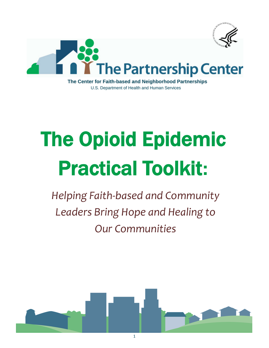

The Center for Faith-based and Neighborhood Partnerships U.S. Department of Health and Human Services

# The Opioid Epidemic Practical Toolkit**:**

*Helping Faith-based and Community Leaders Bring Hope and Healing to Our Communities*

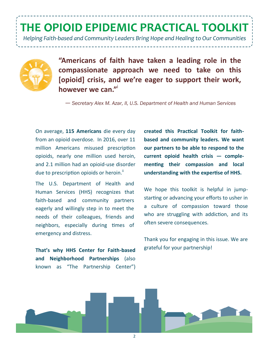*Helping Faith-based and Community Leaders Bring Hope and Healing to Our Communities*



**"Americans of faith have taken a leading role in the compassionate approach we need to take on this [opioid] crisis, and we're eager to support their work, however we can."**<sup>i</sup> 

— *Secretary Alex M. Azar, II, U.S. Department of Health and Human Services*

On average, **115 Americans** die every day from an opioid overdose. In 2016, over 11 million Americans misused prescription opioids, nearly one million used heroin, and 2.1 million had an opioid-use disorder due to prescription opioids or heroin.<sup>ii</sup>

The U.S. Department of Health and Human Services (HHS) recognizes that faith-based and community partners eagerly and willingly step in to meet the needs of their colleagues, friends and neighbors, especially during times of emergency and distress.

**That's why HHS Center for Faith-based and Neighborhood Partnerships** (also known as "The Partnership Center") **created this Practical Toolkit for faithbased and community leaders. We want our partners to be able to respond to the current opioid health crisis — complementing their compassion and local understanding with the expertise of HHS.**

We hope this toolkit is helpful in jumpstarting or advancing your efforts to usher in a culture of compassion toward those who are struggling with addiction, and its often severe consequences.

Thank you for engaging in this issue. We are grateful for your partnership!

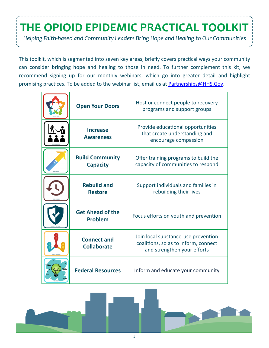*Helping Faith-based and Community Leaders Bring Hope and Healing to Our Communities*

This toolkit, which is segmented into seven key areas, briefly covers practical ways your community can consider bringing hope and healing to those in need. To further complement this kit, we recommend signing up for our monthly webinars, which go into greater detail and highlight promising practices. To be added to the webinar list, email us at Partnerships@HHS.Gov.

| <b>Open Your Doors</b>                    | Host or connect people to recovery<br>programs and support groups                                          |
|-------------------------------------------|------------------------------------------------------------------------------------------------------------|
| <b>Increase</b><br><b>Awareness</b>       | Provide educational opportunities<br>that create understanding and<br>encourage compassion                 |
| <b>Build Community</b><br><b>Capacity</b> | Offer training programs to build the<br>capacity of communities to respond                                 |
| <b>Rebuild and</b><br><b>Restore</b>      | Support individuals and families in<br>rebuilding their lives                                              |
| <b>Get Ahead of the</b><br><b>Problem</b> | Focus efforts on youth and prevention                                                                      |
| <b>Connect and</b><br><b>Collaborate</b>  | Join local substance-use prevention<br>coalitions, so as to inform, connect<br>and strengthen your efforts |
| <b>Federal Resources</b>                  | Inform and educate your community                                                                          |

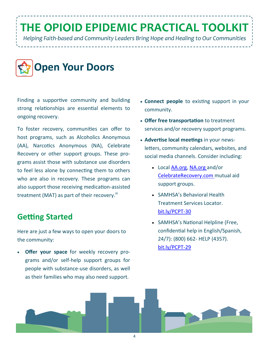*Helping Faith-based and Community Leaders Bring Hope and Healing to Our Communities*



Finding a supportive community and building strong relationships are essential elements to ongoing recovery.

To foster recovery, communities can offer to host programs, such as Alcoholics Anonymous (AA), Narcotics Anonymous (NA), Celebrate Recovery or other support groups. These programs assist those with substance use disorders to feel less alone by connecting them to others who are also in recovery. These programs can also support those receiving medication-assisted treatment (MAT) as part of their recovery. $\mathsf{I}^{\mathsf{m}}$ 

#### **Getting Started**

Here are just a few ways to open your doors to the community:

 **Offer your space** for weekly recovery programs and/or self-help support groups for people with substance-use disorders, as well as their families who may also need support.

- **Connect people** to existing support in your community.
- **Offer free transportation** to treatment services and/or recovery support programs.
- **Advertise local meetings** in your newsletters, community calendars, websites, and social media channels. Consider including:
	- Local [AA.org,](http://www.aa.org) [NA.org](http://www.na.org) and/or [CelebrateRecovery.com](HTTP://www.celebraterecovery.com) mutual aid support groups.
	- SAMHSA's Behavioral Health Treatment Services Locator. [bit.ly/PCPT](http://bit.ly/PCPT-30)-30
	- SAMHSA's National Helpline (Free, confidential help in English/Spanish, 24/7): (800) 662- HELP (4357). [bit.ly/PCPT](http://bit.ly/PCPT-29)-29

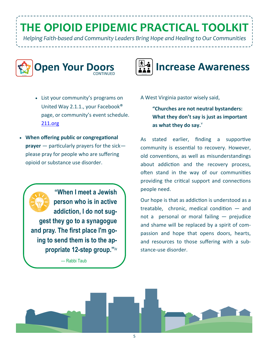*Helping Faith-based and Community Leaders Bring Hope and Healing to Our Communities*



- List your community's programs on United Way 2.1.1., your Facebook® page, or community's event schedule. [211.org](http://www.211.org)
- **When offering public or congregational prayer** — particularly prayers for the sick please pray for people who are suffering opioid or substance use disorder.

**"When I meet a Jewish person who is in active addiction, I do not suggest they go to a synagogue and pray. The first place I'm going to send them is to the appropriate 12-step group."**iv

— Rabbi Taub



A West Virginia pastor wisely said,

**"Churches are not neutral bystanders: What they don't say is just as important**  as what they do say.<sup>v</sup>

As stated earlier, finding a supportive community is essential to recovery. However, old conventions, as well as misunderstandings about addiction and the recovery process, often stand in the way of our communities providing the critical support and connections people need.

Our hope is that as addiction is understood as a treatable, chronic, medical condition — and not a personal or moral failing — prejudice and shame will be replaced by a spirit of compassion and hope that opens doors, hearts, and resources to those suffering with a substance-use disorder.

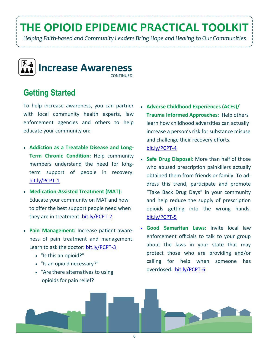*Helping Faith-based and Community Leaders Bring Hope and Healing to Our Communities*



#### **Getting Started**

To help increase awareness, you can partner with local community health experts, law enforcement agencies and others to help educate your community on:

- **Addiction as a Treatable Disease and Long-Term Chronic Condition:** Help community members understand the need for longterm support of people in recovery. [bit.ly/PCPT](http://bit.ly/PCPT-1)-1
- **Medication-Assisted Treatment (MAT):**  Educate your community on MAT and how to offer the best support people need when they are in treatment. [bit.ly/PCPT](http://bit.ly/PCPT-2)-2
- **Pain Management:** Increase patient awareness of pain treatment and management. Learn to ask the doctor: [bit.ly/PCPT](http://bit.ly/PCPT-3)-3
	- "Is this an opioid?"
	- "Is an opioid necessary?"
	- "Are there alternatives to using opioids for pain relief?
- **Adverse Childhood Experiences (ACEs)/ Trauma Informed Approaches:** Help others learn how childhood adversities can actually increase a person's risk for substance misuse and challenge their recovery efforts. [bit.ly/PCPT](http://bit.ly/PCPT-4)-4
- **Safe Drug Disposal:** More than half of those who abused prescription painkillers actually obtained them from friends or family. To address this trend, participate and promote "Take Back Drug Days" in your community and help reduce the supply of prescription opioids getting into the wrong hands. [bit.ly/PCPT](http://bit.ly/PCPT-5)-5
- **Good Samaritan Laws:** Invite local law enforcement officials to talk to your group about the laws in your state that may protect those who are providing and/or calling for help when someone has overdosed. [bit.ly/PCPT](http://bit.ly/PCPT-6)-6

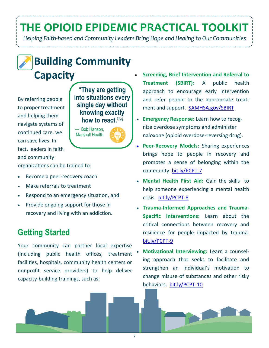*Helping Faith-based and Community Leaders Bring Hope and Healing to Our Communities*



#### **Building Community Capacity**

By referring people to proper treatment and helping them navigate systems of continued care, we can save lives. In fact, leaders in faith and community

**"They are getting into situations every single day without knowing exactly how to react."**v**<sup>i</sup>**

— Bob Hanson, Marshall Health

organizations can be trained to:

- Become a peer-recovery coach
- Make referrals to treatment
- Respond to an emergency situation, and
- Provide ongoing support for those in recovery and living with an addiction.

#### **Getting Started**

Your community can partner local expertise (including public health offices, treatment facilities, hospitals, community health centers or nonprofit service providers) to help deliver capacity-building trainings, such as:

- **Screening, Brief Intervention and Referral to Treatment (SBIRT):** A public health approach to encourage early intervention and refer people to the appropriate treatment and support. [SAMHSA.gov/SBIRT](https://www.samhsa.gov/sbirt)
- **Emergency Response:** Learn how to recognize overdose symptoms and administer naloxone (opioid overdose-reversing drug).
- **Peer-Recovery Models:** Sharing experiences brings hope to people in recovery and promotes a sense of belonging within the community. [bit.ly/PCPT](http://bit.ly/PCPT-7)-7
- **Mental Health First Aid:** Gain the skills to help someone experiencing a mental health crisis. [bit.ly/PCPT](http://bit.ly/PCPT-8)-8
- **Trauma-Informed Approaches and Trauma-Specific Interventions:** Learn about the critical connections between recovery and resilience for people impacted by trauma. [bit.ly/PCPT](http://bit.ly/PCPT-9)-9
- **Motivational Interviewing:** Learn a counseling approach that seeks to facilitate and strengthen an individual's motivation to change misuse of substances and other risky behaviors. [bit.ly/PCPT](http://bit.ly/PCPT-10)-10

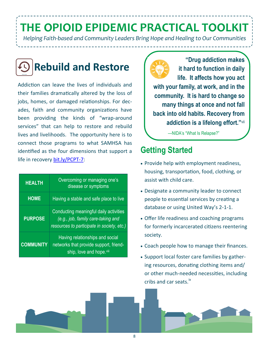*Helping Faith-based and Community Leaders Bring Hope and Healing to Our Communities*



Addiction can leave the lives of individuals and their families dramatically altered by the loss of jobs, homes, or damaged relationships. For decades, faith and community organizations have been providing the kinds of "wrap-around services" that can help to restore and rebuild lives and livelihoods. The opportunity here is to connect those programs to what SAMHSA has identified as the four dimensions that support a life in recovery [bit.ly/PCPT](http://bit.ly/PCPT-7)-7:

| <b>HEALTH</b>    | Overcoming or managing one's<br>disease or symptoms                                                                        |
|------------------|----------------------------------------------------------------------------------------------------------------------------|
| <b>HOME</b>      | Having a stable and safe place to live                                                                                     |
| <b>PURPOSE</b>   | Conducting meaningful daily activities<br>(e.g., job, family care-taking and<br>resources to participate in society, etc.) |
| <b>COMMUNITY</b> | Having relationships and social<br>networks that provide support, friend-<br>ship, love and hope.viii                      |



**"Drug addiction makes it hard to function in daily life. It affects how you act with your family, at work, and in the community. It is hard to change so many things at once and not fall back into old habits. Recovery from addiction is a lifelong effort."**vii

—NIDA's "What Is Relapse?"

#### **Getting Started**

- Provide help with employment readiness, housing, transportation, food, clothing, or assist with child care.
- Designate a community leader to connect people to essential services by creating a database or using United Way's 2-1-1.
- Offer life readiness and coaching programs for formerly incarcerated citizens reentering society.
- Coach people how to manage their finances.
- Support local foster care families by gathering resources, donating clothing items and/ or other much-needed necessities, including cribs and car seats.ix

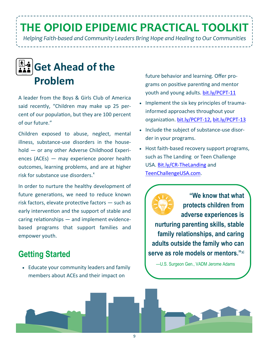*Helping Faith-based and Community Leaders Bring Hope and Healing to Our Communities*



A leader from the Boys & Girls Club of America said recently, "Children may make up 25 percent of our population, but they are 100 percent of our future."

Children exposed to abuse, neglect, mental illness, substance-use disorders in the household — or any other Adverse Childhood Experiences (ACEs) — may experience poorer health outcomes, learning problems, and are at higher risk for substance use disorders.<sup>x</sup>

In order to nurture the healthy development of future generations, we need to reduce known risk factors, elevate protective factors — such as early intervention and the support of stable and caring relationships — and implement evidencebased programs that support families and empower youth.

#### **Getting Started**

 Educate your community leaders and family members about ACEs and their impact on

future behavior and learning. Offer programs on positive parenting and mentor youth and young adults. [bit.ly/PCPT](http://bit.ly/PCPT-11)-11

- Implement the six key principles of traumainformed approaches throughout your organization. [bit.ly/PCPT](http://bit.ly/PCPT-12)-12, [bit.ly/PCPT](http://bit.ly/PCPT-13)-13
- Include the subject of substance-use disorder in your programs.
- Host faith-based recovery support programs, such as The Landing or Teen Challenge USA. Bit.ly/CR-[TheLanding](http://Bit.ly/CR-TheLanding) and [TeenChallengeUSA.com.](http://TeenChallengeUSA.com)

**"We know that what protects children from adverse experiences is nurturing parenting skills, stable family relationships, and caring adults outside the family who can serve as role models or mentors."**xi

—U.S. Surgeon Gen., VADM Jerome Adams

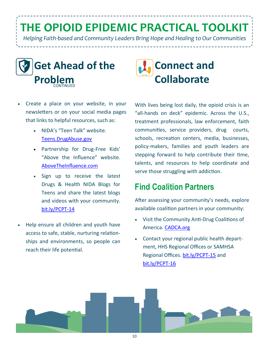*Helping Faith-based and Community Leaders Bring Hope and Healing to Our Communities*



- Create a place on your website, in your newsletters or on your social media pages that links to helpful resources, such as:
	- NIDA's "Teen Talk" website. [Teens.DrugAbuse.gov](https://teens.drugabuse.gov/)
	- Partnership for Drug-Free Kids' "Above the Influence" website. [AboveTheInfluence.com](http://www.abovetheinfluence.com/)
	- Sign up to receive the latest [Drugs & Health NIDA Blogs for](https://teens.drugabuse.gov/blog/post/lets-shatter-myths-about-drugs)  [Teens a](https://teens.drugabuse.gov/blog/post/lets-shatter-myths-about-drugs)nd share the latest blogs and videos with your community. [bit.ly/PCPT](http://bit.ly/PCPT-14)-14
- Help ensure all children and youth have access to safe, stable, nurturing relationships and environments, so people can reach their life potential.



With lives being lost daily, the opioid crisis is an "all-hands on deck" epidemic. Across the U.S., treatment professionals, law enforcement, faith communities, service providers, drug courts, schools, recreation centers, media, businesses, policy-makers, families and youth leaders are stepping forward to help contribute their time, talents, and resources to help coordinate and serve those struggling with addiction.

#### **Find Coalition Partners**

After assessing your community's needs, explore available coalition partners in your community:

- Visit the Community Anti-Drug Coalitions of America. [CADCA.org](http://www.cadca.org)
- Contact your regional public health department, HHS Regional Offices or SAMHSA Regional Offices. [bit.ly/PCPT](http://bit.ly/PCPT-15)-15 and [bit.ly/PCPT](http://bit.ly/PCPT-16)-16

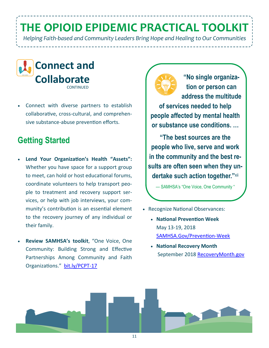*Helping Faith-based and Community Leaders Bring Hope and Healing to Our Communities*



 Connect with diverse partners to establish collaborative, cross-cultural, and comprehensive substance-abuse prevention efforts.

#### **Getting Started**

- **Lend Your Organization's Health "Assets":** Whether you have space for a support group to meet, can hold or host educational forums, coordinate volunteers to help transport people to treatment and recovery support services, or help with job interviews, your community's contribution is an essential element to the recovery journey of any individual or their family.
- **Review SAMHSA's toolkit**, "One Voice, One Community: Building Strong and Effective Partnerships Among Community and Faith Organizations." [bit.ly/PCPT](http://bit.ly/PCPT-17)-17



**"No single organization or person can address the multitude of services needed to help people affected by mental health or substance use conditions. …** 

**"The best sources are the people who live, serve and work in the community and the best results are often seen when they undertake such action together."**xii

— SAMHSA's "One Voice, One Community "

- Recognize National Observances:
	- **National Prevention Week**  May 13-19, 2018 [SAMHSA.Gov/Prevention](https://www.samhsa.gov/prevention-week)-Week
	- **National Recovery Month** September 2018 R[ecoveryMonth.gov](https://recoverymonth.gov/)

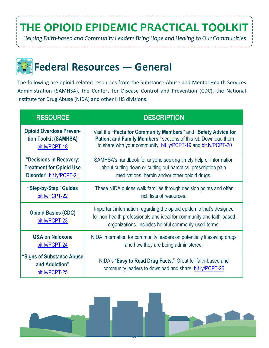*Helping Faith-based and Community Leaders Bring Hope and Healing to Our Communities*

## **Federal Resources — General**

The following are opioid-related resources from the Substance Abuse and Mental Health Services Administration (SAMHSA), the Centers for Disease Control and Prevention (CDC), the National Institute for Drug Abuse (NIDA) and other HHS divisions.

| <b>RESOURCE</b>                                               | <b>DESCRIPTION</b>                                                                                                                                                                                  |
|---------------------------------------------------------------|-----------------------------------------------------------------------------------------------------------------------------------------------------------------------------------------------------|
| <b>Opioid Overdose Preven-</b>                                | Visit the "Facts for Community Members" and "Safety Advice for                                                                                                                                      |
| tion Toolkit (SAMHSA)                                         | Patient and Family Members" sections of this kit. Download them                                                                                                                                     |
| bit.ly/PCPT-18                                                | to share with your community. bit.ly/PCPT-19 and bit.ly/PCPT-20                                                                                                                                     |
| "Decisions in Recovery:                                       | SAMHSA's handbook for anyone seeking timely help or information                                                                                                                                     |
| <b>Treatment for Opioid Use</b>                               | about cutting down or cutting out narcotics, prescription pain                                                                                                                                      |
| Disorder" bit.ly/PCPT-21                                      | medications, heroin and/or other opioid drugs.                                                                                                                                                      |
| "Step-by-Step" Guides                                         | These NIDA guides walk families through decision points and offer                                                                                                                                   |
| bit.ly/PCPT-22                                                | rich lists of resources.                                                                                                                                                                            |
| <b>Opioid Basics (CDC)</b><br>bit.ly/PCPT-23                  | Important information regarding the opioid epidemic that's designed<br>for non-health professionals and ideal for community and faith-based<br>organizations. Includes helpful commonly-used terms. |
| <b>Q&amp;A on Naloxone</b>                                    | NIDA information for community leaders on potentially lifesaving drugs                                                                                                                              |
| bit.ly/PCPT-24                                                | and how they are being administered.                                                                                                                                                                |
| "Signs of Substance Abuse<br>and Addiction"<br>bit.ly/PCPT-25 | NIDA's "Easy to Read Drug Facts." Great for faith-based and<br>community leaders to download and share. bit.ly/PCPT-26                                                                              |

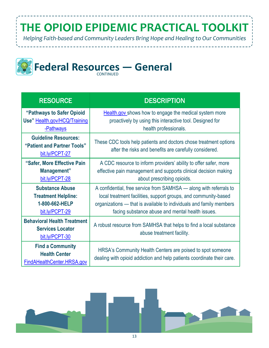*Helping Faith-based and Community Leaders Bring Hope and Healing to Our Communities*



| <b>RESOURCE</b>                                                                          | <b>DESCRIPTION</b>                                                                                                                                                                                                                                               |
|------------------------------------------------------------------------------------------|------------------------------------------------------------------------------------------------------------------------------------------------------------------------------------------------------------------------------------------------------------------|
| "Pathways to Safer Opioid<br>Use" Health.gov/HCQ/Training<br>-Pathways                   | Health.gov shows how to engage the medical system more<br>proactively by using this interactive tool. Designed for<br>health professionals.                                                                                                                      |
| <b>Guideline Resources:</b><br>"Patient and Partner Tools"<br>bit.ly/PCPT-27             | These CDC tools help patients and doctors chose treatment options<br>after the risks and benefits are carefully considered.                                                                                                                                      |
| "Safer, More Effective Pain<br>Management"<br>bit.ly/PCPT-28                             | A CDC resource to inform providers' ability to offer safer, more<br>effective pain management and supports clinical decision making<br>about prescribing opioids.                                                                                                |
| <b>Substance Abuse</b><br><b>Treatment Helpline:</b><br>1-800-662-HELP<br>bit.ly/PCPT-29 | A confidential, free service from SAMHSA — along with referrals to<br>local treatment facilities, support groups, and community-based<br>organizations - that is available to individuals and family members<br>facing substance abuse and mental health issues. |
| <b>Behavioral Health Treatment</b><br><b>Services Locator</b><br>bit.ly/PCPT-30          | A robust resource from SAMHSA that helps to find a local substance<br>abuse treatment facility.                                                                                                                                                                  |
| <b>Find a Community</b><br><b>Health Center</b><br>FindAHealthCenter.HRSA.gov            | HRSA's Community Health Centers are poised to spot someone<br>dealing with opioid addiction and help patients coordinate their care.                                                                                                                             |

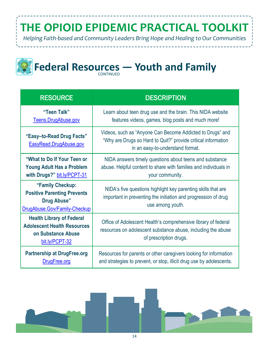*Helping Faith-based and Community Leaders Bring Hope and Healing to Our Communities*



# **Federal Resources – Youth and Family**

| <b>RESOURCE</b>                                                                                                | <b>DESCRIPTION</b>                                                                                                                                             |
|----------------------------------------------------------------------------------------------------------------|----------------------------------------------------------------------------------------------------------------------------------------------------------------|
| "Teen Talk"<br>Teens.DrugAbuse.gov                                                                             | Learn about teen drug use and the brain. This NIDA website<br>features videos, games, blog posts and much more!                                                |
| "Easy-to-Read Drug Facts"<br>EasyRead.DrugAbuse.gov                                                            | Videos, such as "Anyone Can Become Addicted to Drugs" and<br>"Why are Drugs so Hard to Quit?" provide critical information<br>in an easy-to-understand format. |
| "What to Do If Your Teen or<br><b>Young Adult Has a Problem</b><br>with Drugs?" bit.ly/PCPT-31                 | NIDA answers timely questions about teens and substance<br>abuse. Helpful content to share with families and individuals in<br>your community.                 |
| "Family Checkup:<br><b>Positive Parenting Prevents</b><br><b>Drug Abuse"</b><br>DrugAbuse.Gov/Family-Checkup   | NIDA's five questions highlight key parenting skills that are<br>important in preventing the initiation and progression of drug<br>use among youth.            |
| <b>Health Library of Federal</b><br><b>Adolescent Health Resources</b><br>on Substance Abuse<br>bit.ly/PCPT-32 | Office of Adolescent Health's comprehensive library of federal<br>resources on adolescent substance abuse, including the abuse<br>of prescription drugs.       |
| <b>Partnership at DrugFree.org</b><br>DrugFree.org                                                             | Resources for parents or other caregivers looking for information<br>and strategies to prevent, or stop, illicit drug use by adolescents.                      |

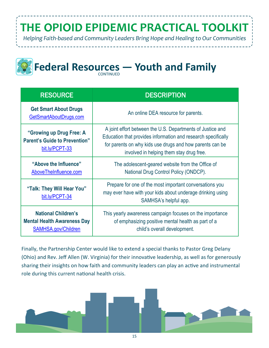*Helping Faith-based and Community Leaders Bring Hope and Healing to Our Communities*



# **Federal Resources – Youth and Family**

| <b>RESOURCE</b>                                                                                | <b>DESCRIPTION</b>                                                                                                                                                                                                                  |
|------------------------------------------------------------------------------------------------|-------------------------------------------------------------------------------------------------------------------------------------------------------------------------------------------------------------------------------------|
| <b>Get Smart About Drugs</b><br>GetSmartAboutDrugs.com                                         | An online DEA resource for parents.                                                                                                                                                                                                 |
| "Growing up Drug Free: A<br><b>Parent's Guide to Prevention"</b><br>bit.ly/PCPT-33             | A joint effort between the U.S. Departments of Justice and<br>Education that provides information and research specifically<br>for parents on why kids use drugs and how parents can be<br>involved in helping them stay drug free. |
| "Above the Influence"<br>AboveTheInfluence.com                                                 | The adolescent-geared website from the Office of<br>National Drug Control Policy (ONDCP).                                                                                                                                           |
| "Talk: They Will Hear You"<br>bit.ly/PCPT-34                                                   | Prepare for one of the most important conversations you<br>may ever have with your kids about underage drinking using<br>SAMHSA's helpful app.                                                                                      |
| <b>National Children's</b><br><b>Mental Health Awareness Day</b><br><b>SAMHSA.gov/Children</b> | This yearly awareness campaign focuses on the importance<br>of emphasizing positive mental health as part of a<br>child's overall development.                                                                                      |

Finally, the Partnership Center would like to extend a special thanks to Pastor Greg Delany (Ohio) and Rev. Jeff Allen (W. Virginia) for their innovative leadership, as well as for generously sharing their insights on how faith and community leaders can play an active and instrumental role during this current national health crisis.